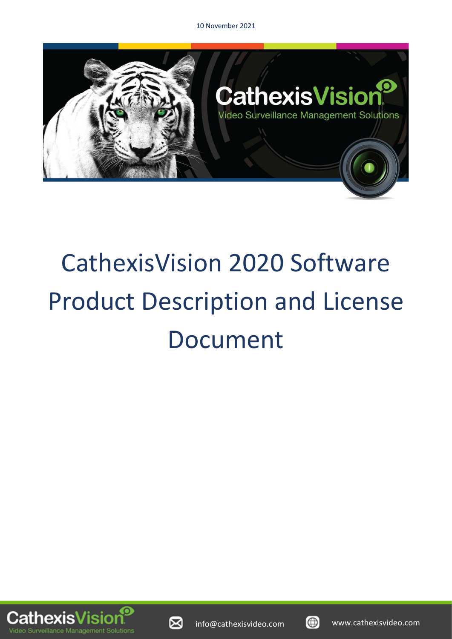

# CathexisVision 2020 Software Product Description and License Document





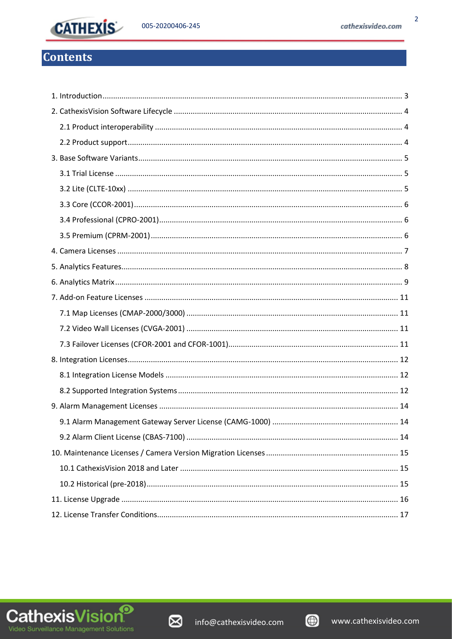

 $\overline{2}$ 

# **Contents**



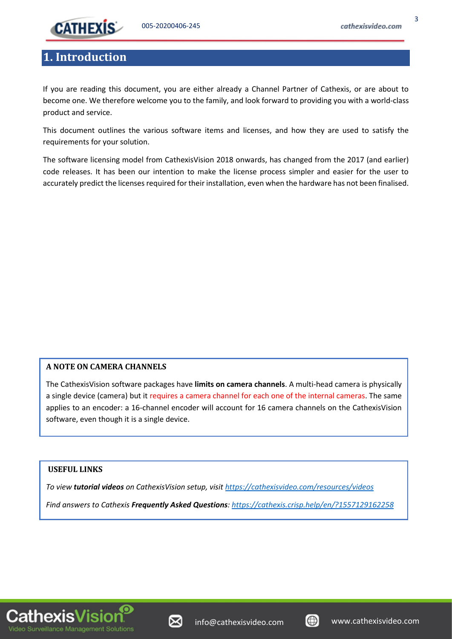

#### <span id="page-2-0"></span>**1. Introduction**

If you are reading this document, you are either already a Channel Partner of Cathexis, or are about to become one. We therefore welcome you to the family, and look forward to providing you with a world-class product and service.

This document outlines the various software items and licenses, and how they are used to satisfy the requirements for your solution.

The software licensing model from CathexisVision 2018 onwards, has changed from the 2017 (and earlier) code releases. It has been our intention to make the license process simpler and easier for the user to accurately predict the licenses required for their installation, even when the hardware has not been finalised.

#### **A NOTE ON CAMERA CHANNELS**

The CathexisVision software packages have **limits on camera channels**. A multi-head camera is physically a single device (camera) but it requires a camera channel for each one of the internal cameras. The same applies to an encoder: a 16-channel encoder will account for 16 camera channels on the CathexisVision software, even though it is a single device.

#### **USEFUL LINKS**

*To view tutorial videos on CathexisVision setup, visi[t https://cathexisvideo.com/resources/videos](https://cathexisvideo.com/resources/videos)*

*Find answers to Cathexis Frequently Asked Questions:<https://cathexis.crisp.help/en/?1557129162258>*





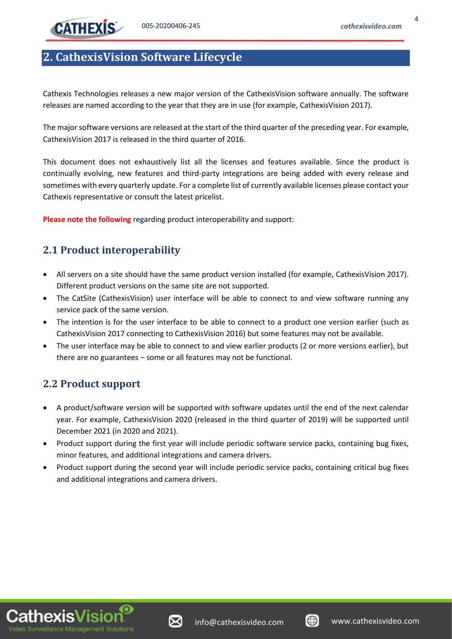

#### <span id="page-3-0"></span>**2. CathexisVision Software Lifecycle**

Cathexis Technologies releases a new major version of the CathexisVision software annually. The software releases are named according to the year that they are in use (for example, CathexisVision 2017).

The major software versions are released at the start of the third quarter of the preceding year. For example, CathexisVision 2017 is released in the third quarter of 2016.

This document does not exhaustively list all the licenses and features available. Since the product is continually evolving, new features and third-party integrations are being added with every release and sometimes with every quarterly update. For a complete list of currently available licenses please contact your Cathexis representative or consult the latest pricelist.

**Please note the following** regarding product interoperability and support:

#### <span id="page-3-1"></span>**2.1 Product interoperability**

- All servers on a site should have the same product version installed (for example, CathexisVision 2017). Different product versions on the same site are not supported.
- The CatSite (CathexisVision) user interface will be able to connect to and view software running any service pack of the same version.
- The intention is for the user interface to be able to connect to a product one version earlier (such as CathexisVision 2017 connecting to CathexisVision 2016) but some features may not be available.
- The user interface may be able to connect to and view earlier products (2 or more versions earlier), but there are no guarantees – some or all features may not be functional.

#### <span id="page-3-2"></span>**2.2 Product support**

- A product/software version will be supported with software updates until the end of the next calendar year. For example, CathexisVision 2020 (released in the third quarter of 2019) will be supported until December 2021 (in 2020 and 2021).
- Product support during the first year will include periodic software service packs, containing bug fixes, minor features, and additional integrations and camera drivers.
- Product support during the second year will include periodic service packs, containing critical bug fixes and additional integrations and camera drivers.



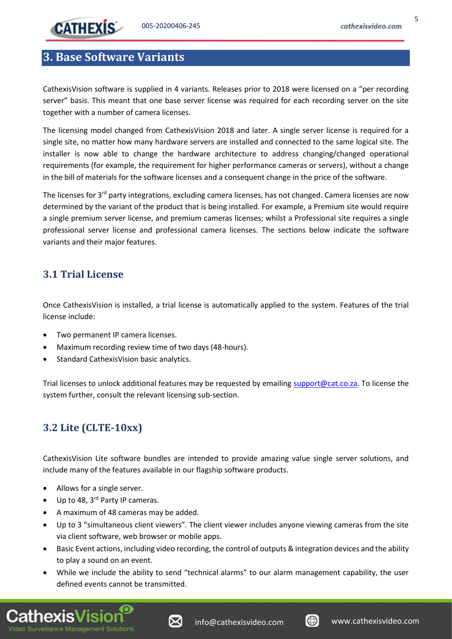

#### <span id="page-4-0"></span>**3. Base Software Variants**

CathexisVision software is supplied in 4 variants. Releases prior to 2018 were licensed on a "per recording server" basis. This meant that one base server license was required for each recording server on the site together with a number of camera licenses.

The licensing model changed from CathexisVision 2018 and later. A single server license is required for a single site, no matter how many hardware servers are installed and connected to the same logical site. The installer is now able to change the hardware architecture to address changing/changed operational requirements (for example, the requirement for higher performance cameras or servers), without a change in the bill of materials for the software licenses and a consequent change in the price of the software.

The licenses for 3<sup>rd</sup> party integrations, excluding camera licenses, has not changed. Camera licenses are now determined by the variant of the product that is being installed. For example, a Premium site would require a single premium server license, and premium cameras licenses; whilst a Professional site requires a single professional server license and professional camera licenses. The sections below indicate the software variants and their major features.

#### <span id="page-4-1"></span>**3.1 Trial License**

Once CathexisVision is installed, a trial license is automatically applied to the system. Features of the trial license include:

- Two permanent IP camera licenses.
- Maximum recording review time of two days (48-hours).
- Standard CathexisVision basic analytics.

Trial licenses to unlock additional features may be requested by emailing [support@cat.co.za.](mailto:support@cat.co.za) To license the system further, consult the relevant licensing sub-section.

#### <span id="page-4-2"></span>**3.2 Lite (CLTE-10xx)**

CathexisVision Lite software bundles are intended to provide amazing value single server solutions, and include many of the features available in our flagship software products.

- Allows for a single server.
- Up to 48, 3<sup>rd</sup> Party IP cameras.
- A maximum of 48 cameras may be added.
- Up to 3 "simultaneous client viewers". The client viewer includes anyone viewing cameras from the site via client software, web browser or mobile apps.
- Basic Event actions, including video recording, the control of outputs & integration devices and the ability to play a sound on an event.
- While we include the ability to send "technical alarms" to our alarm management capability, the user defined events cannot be transmitted.





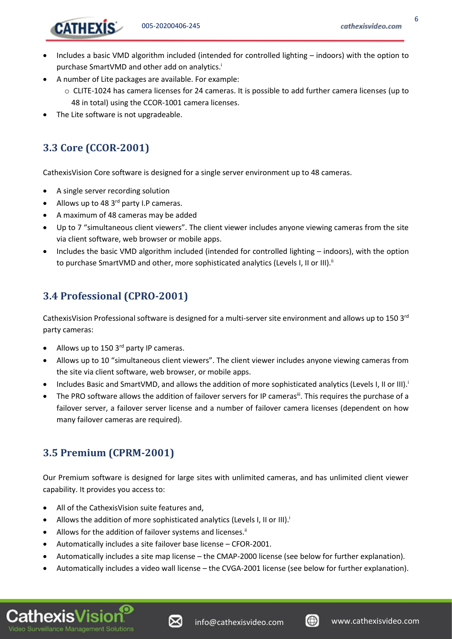- Includes a basic VMD algorithm included (intended for controlled lighting indoors) with the option to purchase SmartVMD and other add on analytics.<sup>i</sup>
- A number of Lite packages are available. For example:
	- o CLITE-1024 has camera licenses for 24 cameras. It is possible to add further camera licenses (up to 48 in total) using the CCOR-1001 camera licenses.
- The Lite software is not upgradeable.

# <span id="page-5-0"></span>**3.3 Core (CCOR-2001)**

<span id="page-5-3"></span>**CATHEXIS** 

CathexisVision Core software is designed for a single server environment up to 48 cameras.

- A single server recording solution
- Allows up to 48 3<sup>rd</sup> party I.P cameras.
- A maximum of 48 cameras may be added
- Up to 7 "simultaneous client viewers". The client viewer includes anyone viewing cameras from the site via client software, web browser or mobile apps.
- Includes the basic VMD algorithm included (intended for controlled lighting indoors), with the option to purchase SmartVMD and other, more sophisticated analytics (Levels I, II or III).<sup>ii</sup>

# <span id="page-5-1"></span>**3.4 Professional (CPRO-2001)**

CathexisVision Professional software is designed for a multi-server site environment and allows up to 150  $3<sup>rd</sup>$ party cameras:

- Allows up to 150 3<sup>rd</sup> party IP cameras.
- Allows up to 10 "simultaneous client viewers". The client viewer includes anyone viewing cameras from the site via client software, web browser, or mobile apps.
- Includes Basic and SmartVMD, and allows the addition of more sophisticated analytics (Levels I, II or III)[.](#page-5-3)
- The PRO software allows the addition of failover servers for IP cameras<sup>iii</sup>. This requires the purchase of a failover server, a failover server license and a number of failover camera licenses (dependent on how many failover cameras are required).

# <span id="page-5-2"></span>**3.5 Premium (CPRM-2001)**

Our Premium software is designed for large sites with unlimited cameras, and has unlimited client viewer capability. It provides you access to:

- All of the CathexisVision suite features and,
- Allows the addition of more sophisticated analytics (Levels I, II or III)[.](#page-5-3)
- Allows for the addition of failover systems and licenses.<sup>ii</sup>
- Automatically includes a site failover base license CFOR-2001.
- Automatically includes a site map license the CMAP-2000 license (see below for further explanation).
- Automatically includes a video wall license the CVGA-2001 license (see below for further explanation).



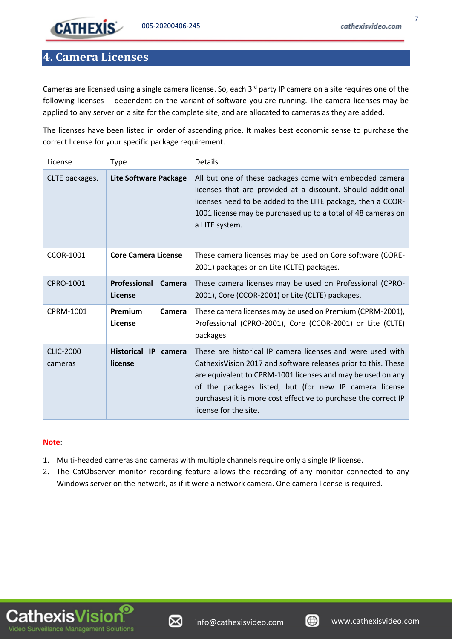#### <span id="page-6-0"></span>**4. Camera Licenses**

Cameras are licensed using a single camera license. So, each 3<sup>rd</sup> party IP camera on a site requires one of the following licenses -- dependent on the variant of software you are running. The camera licenses may be applied to any server on a site for the complete site, and are allocated to cameras as they are added.

The licenses have been listed in order of ascending price. It makes best economic sense to purchase the correct license for your specific package requirement.

| License                     | Type                                  | Details                                                                                                                                                                                                                                                                                                                                            |
|-----------------------------|---------------------------------------|----------------------------------------------------------------------------------------------------------------------------------------------------------------------------------------------------------------------------------------------------------------------------------------------------------------------------------------------------|
| CLTE packages.              | <b>Lite Software Package</b>          | All but one of these packages come with embedded camera<br>licenses that are provided at a discount. Should additional<br>licenses need to be added to the LITE package, then a CCOR-<br>1001 license may be purchased up to a total of 48 cameras on<br>a LITE system.                                                                            |
| <b>CCOR-1001</b>            | <b>Core Camera License</b>            | These camera licenses may be used on Core software (CORE-<br>2001) packages or on Lite (CLTE) packages.                                                                                                                                                                                                                                            |
| CPRO-1001                   | <b>Professional Camera</b><br>License | These camera licenses may be used on Professional (CPRO-<br>2001), Core (CCOR-2001) or Lite (CLTE) packages.                                                                                                                                                                                                                                       |
| CPRM-1001                   | Premium<br>Camera<br>License          | These camera licenses may be used on Premium (CPRM-2001),<br>Professional (CPRO-2001), Core (CCOR-2001) or Lite (CLTE)<br>packages.                                                                                                                                                                                                                |
| <b>CLIC-2000</b><br>cameras | Historical IP<br>camera<br>license    | These are historical IP camera licenses and were used with<br>Cathexis Vision 2017 and software releases prior to this. These<br>are equivalent to CPRM-1001 licenses and may be used on any<br>of the packages listed, but (for new IP camera license<br>purchases) it is more cost effective to purchase the correct IP<br>license for the site. |

#### **Note**:

- 1. Multi-headed cameras and cameras with multiple channels require only a single IP license.
- 2. The CatObserver monitor recording feature allows the recording of any monitor connected to any Windows server on the network, as if it were a network camera. One camera license is required.





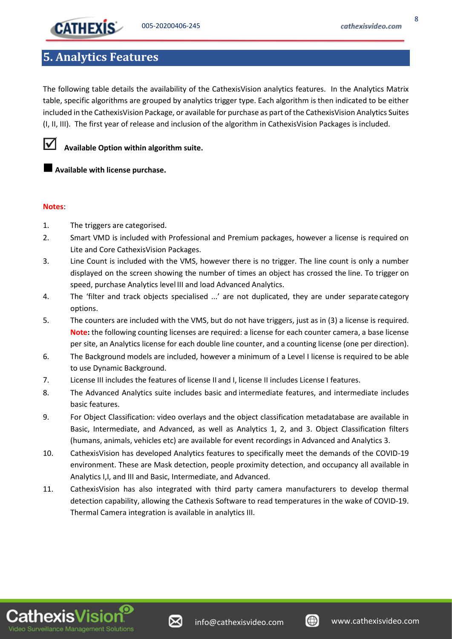#### <span id="page-7-0"></span>**5. Analytics Features**

The following table details the availability of the CathexisVision analytics features. In the Analytics Matrix table, specific algorithms are grouped by analytics trigger type. Each algorithm is then indicated to be either included in the CathexisVision Package, or available for purchase as part of the CathexisVision Analytics Suites (I, II, III). The first year of release and inclusion of the algorithm in CathexisVision Packages is included.



**Available Option within algorithm suite.** 

■ Available with license purchase.

#### **Notes**:

- 1. The triggers are categorised.
- 2. Smart VMD is included with Professional and Premium packages, however a license is required on Lite and Core CathexisVision Packages.
- 3. Line Count is included with the VMS, however there is no trigger. The line count is only a number displayed on the screen showing the number of times an object has crossed the line. To trigger on speed, purchase Analytics level III and load Advanced Analytics.
- 4. The 'filter and track objects specialised ...' are not duplicated, they are under separate category options.
- 5. The counters are included with the VMS, but do not have triggers, just as in (3) a license is required. **Note:** the following counting licenses are required: a license for each counter camera, a base license per site, an Analytics license for each double line counter, and a counting license (one per direction).
- 6. The Background models are included, however a minimum of a Level I license is required to be able to use Dynamic Background.
- 7. License III includes the features of license II and I, license II includes License I features.
- 8. The Advanced Analytics suite includes basic and intermediate features, and intermediate includes basic features.
- 9. For Object Classification: video overlays and the object classification metadatabase are available in Basic, Intermediate, and Advanced, as well as Analytics 1, 2, and 3. Object Classification filters (humans, animals, vehicles etc) are available for event recordings in Advanced and Analytics 3.
- 10. CathexisVision has developed Analytics features to specifically meet the demands of the COVID-19 environment. These are Mask detection, people proximity detection, and occupancy all available in Analytics I,I, and III and Basic, Intermediate, and Advanced.
- 11. CathexisVision has also integrated with third party camera manufacturers to develop thermal detection capability, allowing the Cathexis Software to read temperatures in the wake of COVID-19. Thermal Camera integration is available in analytics III.



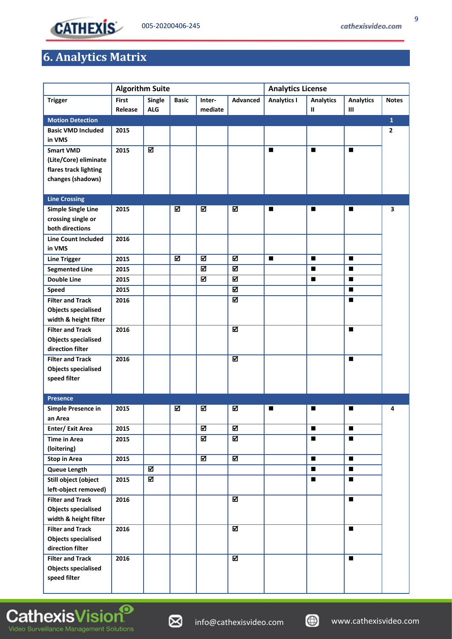

# <span id="page-8-0"></span>**6. Analytics Matrix**

|                                                  | <b>Algorithm Suite</b>  |                         |              |                         |                         | <b>Analytics License</b> |                       |                       |                |
|--------------------------------------------------|-------------------------|-------------------------|--------------|-------------------------|-------------------------|--------------------------|-----------------------|-----------------------|----------------|
| <b>Trigger</b>                                   | <b>First</b><br>Release | Single<br><b>ALG</b>    | <b>Basic</b> | Inter-<br>mediate       | Advanced                | <b>Analytics I</b>       | <b>Analytics</b><br>Ш | <b>Analytics</b><br>Ш | <b>Notes</b>   |
| <b>Motion Detection</b>                          |                         |                         |              |                         |                         |                          |                       |                       | $\mathbf{1}$   |
| <b>Basic VMD Included</b>                        | 2015                    |                         |              |                         |                         |                          |                       |                       | $\overline{2}$ |
| in VMS                                           |                         |                         |              |                         |                         |                          |                       |                       |                |
| <b>Smart VMD</b>                                 | 2015                    | 図                       |              |                         |                         | $\blacksquare$           | $\blacksquare$        | $\blacksquare$        |                |
| (Lite/Core) eliminate                            |                         |                         |              |                         |                         |                          |                       |                       |                |
| flares track lighting                            |                         |                         |              |                         |                         |                          |                       |                       |                |
| changes (shadows)                                |                         |                         |              |                         |                         |                          |                       |                       |                |
| <b>Line Crossing</b>                             |                         |                         |              |                         |                         |                          |                       |                       |                |
| <b>Simple Single Line</b>                        | 2015                    |                         | ☑            | ☑                       | ☑                       | П                        | П                     | П                     | 3              |
| crossing single or                               |                         |                         |              |                         |                         |                          |                       |                       |                |
| both directions                                  |                         |                         |              |                         |                         |                          |                       |                       |                |
| <b>Line Count Included</b>                       | 2016                    |                         |              |                         |                         |                          |                       |                       |                |
| in VMS                                           |                         |                         |              |                         |                         |                          |                       |                       |                |
| <b>Line Trigger</b>                              | 2015                    |                         | ☑            | ☑                       | 囨                       | $\blacksquare$           | $\blacksquare$        | $\blacksquare$        |                |
| <b>Segmented Line</b>                            | 2015                    |                         |              | 図                       | $\overline{\mathbf{z}}$ |                          | $\blacksquare$        | $\blacksquare$        |                |
| <b>Double Line</b>                               | 2015                    |                         |              | $\overline{\mathbf{z}}$ | $\overline{\mathbf{z}}$ |                          | п                     | $\blacksquare$        |                |
| <b>Speed</b>                                     | 2015                    |                         |              |                         | 冈                       |                          |                       | $\blacksquare$        |                |
| <b>Filter and Track</b>                          | 2016                    |                         |              |                         | ☑                       |                          |                       | П                     |                |
| <b>Objects specialised</b>                       |                         |                         |              |                         |                         |                          |                       |                       |                |
| width & height filter                            |                         |                         |              |                         |                         |                          |                       |                       |                |
| <b>Filter and Track</b>                          | 2016                    |                         |              |                         | ☑                       |                          |                       | П                     |                |
| <b>Objects specialised</b>                       |                         |                         |              |                         |                         |                          |                       |                       |                |
| direction filter                                 |                         |                         |              |                         |                         |                          |                       |                       |                |
| <b>Filter and Track</b>                          | 2016                    |                         |              |                         | N                       |                          |                       | П                     |                |
| <b>Objects specialised</b>                       |                         |                         |              |                         |                         |                          |                       |                       |                |
| speed filter                                     |                         |                         |              |                         |                         |                          |                       |                       |                |
|                                                  |                         |                         |              |                         |                         |                          |                       |                       |                |
| <b>Presence</b>                                  |                         |                         |              |                         |                         |                          |                       |                       |                |
| Simple Presence in                               | 2015                    |                         | ☑            | ☑                       | ☑                       | Ħ                        | E                     | ٠                     | 4              |
| an Area                                          |                         |                         |              |                         |                         |                          |                       |                       |                |
| Enter/ Exit Area                                 | 2015                    |                         |              | $\overline{\mathbf{z}}$ | $\overline{\mathbf{z}}$ |                          | $\blacksquare$        | $\blacksquare$        |                |
| <b>Time in Area</b>                              | 2015                    |                         |              | ☑                       | $\overline{\mathbf{z}}$ |                          | $\blacksquare$        | П                     |                |
| (loitering)                                      |                         |                         |              |                         |                         |                          |                       |                       |                |
| <b>Stop in Area</b>                              | 2015                    |                         |              | $\overline{\mathbf{z}}$ | $\overline{\mathbf{z}}$ |                          | п                     | $\blacksquare$        |                |
| Queue Length                                     |                         | $\overline{\mathbf{z}}$ |              |                         |                         |                          | $\blacksquare$        | $\blacksquare$        |                |
| Still object (object                             | 2015                    | ☑                       |              |                         |                         |                          | $\blacksquare$        | $\blacksquare$        |                |
| left-object removed)                             |                         |                         |              |                         |                         |                          |                       |                       |                |
| <b>Filter and Track</b>                          | 2016                    |                         |              |                         | $\overline{\mathbf{z}}$ |                          |                       | $\blacksquare$        |                |
| <b>Objects specialised</b>                       |                         |                         |              |                         |                         |                          |                       |                       |                |
| width & height filter<br><b>Filter and Track</b> |                         |                         |              |                         | N                       |                          |                       | $\blacksquare$        |                |
|                                                  | 2016                    |                         |              |                         |                         |                          |                       |                       |                |
| <b>Objects specialised</b><br>direction filter   |                         |                         |              |                         |                         |                          |                       |                       |                |
| <b>Filter and Track</b>                          | 2016                    |                         |              |                         | M                       |                          |                       | П                     |                |
| <b>Objects specialised</b>                       |                         |                         |              |                         |                         |                          |                       |                       |                |
| speed filter                                     |                         |                         |              |                         |                         |                          |                       |                       |                |
|                                                  |                         |                         |              |                         |                         |                          |                       |                       |                |



Video Surveillance Management Solutions

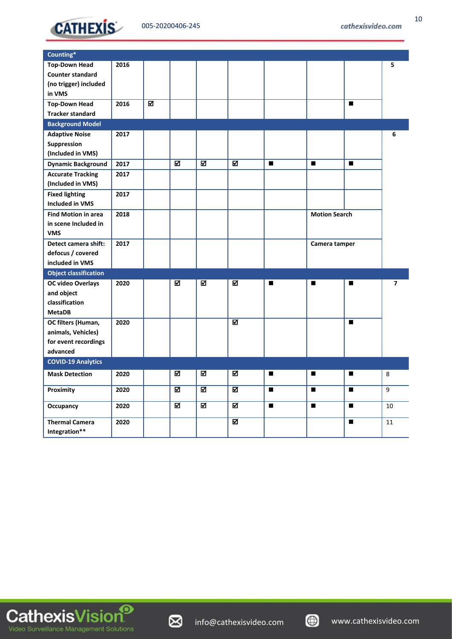

| Counting*                    |      |   |   |   |                         |                |                      |                |                |
|------------------------------|------|---|---|---|-------------------------|----------------|----------------------|----------------|----------------|
| <b>Top-Down Head</b>         | 2016 |   |   |   |                         |                |                      |                | 5              |
| <b>Counter standard</b>      |      |   |   |   |                         |                |                      |                |                |
| (no trigger) included        |      |   |   |   |                         |                |                      |                |                |
| in VMS                       |      |   |   |   |                         |                |                      |                |                |
| <b>Top-Down Head</b>         | 2016 | ⊠ |   |   |                         |                |                      | $\blacksquare$ |                |
| <b>Tracker standard</b>      |      |   |   |   |                         |                |                      |                |                |
| <b>Background Model</b>      |      |   |   |   |                         |                |                      |                |                |
| <b>Adaptive Noise</b>        | 2017 |   |   |   |                         |                |                      |                | 6              |
| Suppression                  |      |   |   |   |                         |                |                      |                |                |
| (Included in VMS)            |      |   |   |   |                         |                |                      |                |                |
| <b>Dynamic Background</b>    | 2017 |   | ☑ | N | ⊠                       | $\blacksquare$ | П                    | $\blacksquare$ |                |
| <b>Accurate Tracking</b>     | 2017 |   |   |   |                         |                |                      |                |                |
| (Included in VMS)            |      |   |   |   |                         |                |                      |                |                |
| <b>Fixed lighting</b>        | 2017 |   |   |   |                         |                |                      |                |                |
| <b>Included in VMS</b>       |      |   |   |   |                         |                |                      |                |                |
| <b>Find Motion in area</b>   | 2018 |   |   |   |                         |                | <b>Motion Search</b> |                |                |
| in scene Included in         |      |   |   |   |                         |                |                      |                |                |
| <b>VMS</b>                   |      |   |   |   |                         |                |                      |                |                |
| Detect camera shift:         | 2017 |   |   |   |                         |                | Camera tamper        |                |                |
| defocus / covered            |      |   |   |   |                         |                |                      |                |                |
| included in VMS              |      |   |   |   |                         |                |                      |                |                |
| <b>Object classification</b> |      |   |   |   |                         |                |                      |                |                |
| OC video Overlays            | 2020 |   | ⊠ | ☑ | ⊠                       | П              | П                    | $\blacksquare$ | $\overline{ }$ |
| and object                   |      |   |   |   |                         |                |                      |                |                |
| classification               |      |   |   |   |                         |                |                      |                |                |
| <b>MetaDB</b>                |      |   |   |   |                         |                |                      |                |                |
| OC filters (Human,           | 2020 |   |   |   | $\overline{\mathbf{z}}$ |                |                      | $\blacksquare$ |                |
| animals, Vehicles)           |      |   |   |   |                         |                |                      |                |                |
| for event recordings         |      |   |   |   |                         |                |                      |                |                |
| advanced                     |      |   |   |   |                         |                |                      |                |                |
| <b>COVID-19 Analytics</b>    |      |   |   |   |                         |                |                      |                |                |
| <b>Mask Detection</b>        | 2020 |   | ⊠ | ⊠ | M                       | $\blacksquare$ | $\blacksquare$       | $\blacksquare$ | 8              |
| Proximity                    | 2020 |   | ☑ | ☑ | ⊠                       | $\blacksquare$ | $\blacksquare$       | $\blacksquare$ | 9              |
| Occupancy                    | 2020 |   | ☑ | 冈 | 囨                       | $\blacksquare$ | $\blacksquare$       | $\blacksquare$ | 10             |
| <b>Thermal Camera</b>        | 2020 |   |   |   | $\overline{\mathbf{z}}$ |                |                      | $\blacksquare$ | 11             |
| Integration**                |      |   |   |   |                         |                |                      |                |                |
|                              |      |   |   |   |                         |                |                      |                |                |





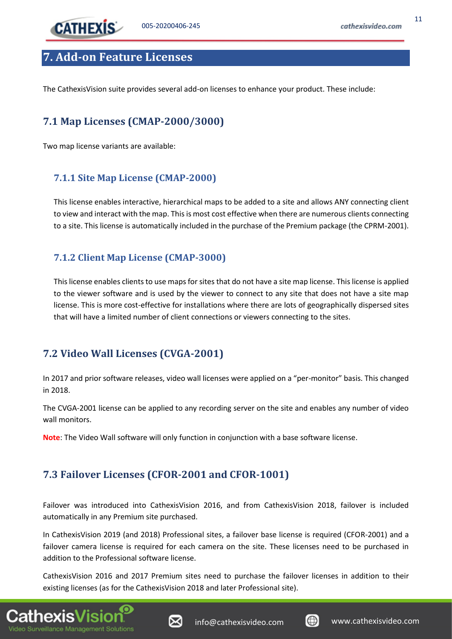## <span id="page-10-0"></span>**7. Add-on Feature Licenses**

The CathexisVision suite provides several add-on licenses to enhance your product. These include:

## <span id="page-10-1"></span>**7.1 Map Licenses (CMAP-2000/3000)**

Two map license variants are available:

#### **7.1.1 Site Map License (CMAP-2000)**

This license enables interactive, hierarchical maps to be added to a site and allows ANY connecting client to view and interact with the map. This is most cost effective when there are numerous clients connecting to a site. This license is automatically included in the purchase of the Premium package (the CPRM-2001).

#### **7.1.2 Client Map License (CMAP-3000)**

This license enables clients to use maps for sites that do not have a site map license. This license is applied to the viewer software and is used by the viewer to connect to any site that does not have a site map license. This is more cost-effective for installations where there are lots of geographically dispersed sites that will have a limited number of client connections or viewers connecting to the sites.

## <span id="page-10-2"></span>**7.2 Video Wall Licenses (CVGA-2001)**

In 2017 and prior software releases, video wall licenses were applied on a "per-monitor" basis. This changed in 2018.

The CVGA-2001 license can be applied to any recording server on the site and enables any number of video wall monitors.

**Note**: The Video Wall software will only function in conjunction with a base software license.

### <span id="page-10-3"></span>**7.3 Failover Licenses (CFOR-2001 and CFOR-1001)**

Failover was introduced into CathexisVision 2016, and from CathexisVision 2018, failover is included automatically in any Premium site purchased.

In CathexisVision 2019 (and 2018) Professional sites, a failover base license is required (CFOR-2001) and a failover camera license is required for each camera on the site. These licenses need to be purchased in addition to the Professional software license.

CathexisVision 2016 and 2017 Premium sites need to purchase the failover licenses in addition to their existing licenses (as for the CathexisVision 2018 and later Professional site).





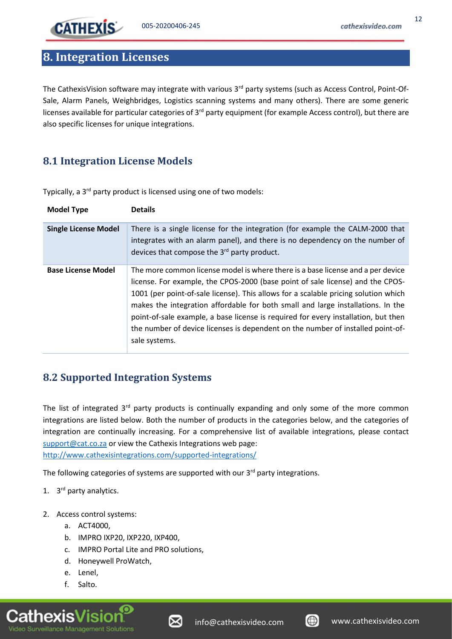#### <span id="page-11-0"></span>**8. Integration Licenses**

The CathexisVision software may integrate with various 3<sup>rd</sup> party systems (such as Access Control, Point-Of-Sale, Alarm Panels, Weighbridges, Logistics scanning systems and many others). There are some generic licenses available for particular categories of 3<sup>rd</sup> party equipment (for example Access control), but there are also specific licenses for unique integrations.

#### <span id="page-11-1"></span>**8.1 Integration License Models**

Typically, a 3<sup>rd</sup> party product is licensed using one of two models:

| <b>Model Type</b>           | <b>Details</b>                                                                                                                                                                                                                                                                                                                                                                                                                                                                                                                        |
|-----------------------------|---------------------------------------------------------------------------------------------------------------------------------------------------------------------------------------------------------------------------------------------------------------------------------------------------------------------------------------------------------------------------------------------------------------------------------------------------------------------------------------------------------------------------------------|
| <b>Single License Model</b> | There is a single license for the integration (for example the CALM-2000 that<br>integrates with an alarm panel), and there is no dependency on the number of<br>devices that compose the $3^{rd}$ party product.                                                                                                                                                                                                                                                                                                                     |
| <b>Base License Model</b>   | The more common license model is where there is a base license and a per device<br>license. For example, the CPOS-2000 (base point of sale license) and the CPOS-<br>1001 (per point-of-sale license). This allows for a scalable pricing solution which<br>makes the integration affordable for both small and large installations. In the<br>point-of-sale example, a base license is required for every installation, but then<br>the number of device licenses is dependent on the number of installed point-of-<br>sale systems. |

#### <span id="page-11-2"></span>**8.2 Supported Integration Systems**

The list of integrated  $3^{rd}$  party products is continually expanding and only some of the more common integrations are listed below. Both the number of products in the categories below, and the categories of integration are continually increasing. For a comprehensive list of available integrations, please contact [support@cat.co.za](mailto:support@cat.co.za) or view the Cathexis Integrations web page:

<http://www.cathexisintegrations.com/supported-integrations/>

The following categories of systems are supported with our  $3<sup>rd</sup>$  party integrations.

- 1. 3<sup>rd</sup> party analytics.
- 2. Access control systems:
	- a. ACT4000,
	- b. IMPRO IXP20, IXP220, IXP400,
	- c. IMPRO Portal Lite and PRO solutions,
	- d. Honeywell ProWatch,
	- e. Lenel,
	- f. Salto.





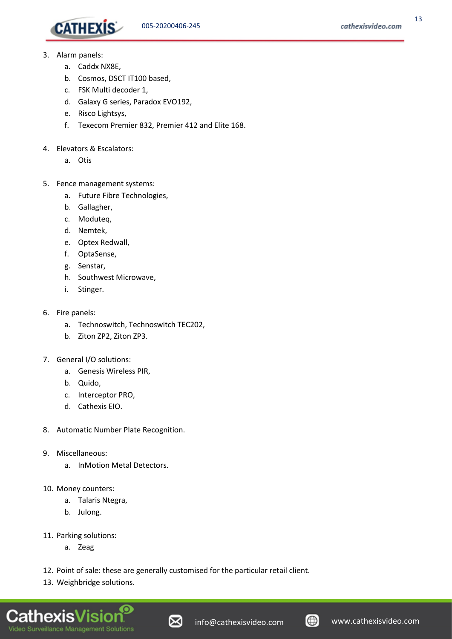

- 3. Alarm panels:
	- a. Caddx NX8E,
	- b. Cosmos, DSCT IT100 based,
	- c. FSK Multi decoder 1,
	- d. Galaxy G series, Paradox EVO192,
	- e. Risco Lightsys,
	- f. Texecom Premier 832, Premier 412 and Elite 168.
- 4. Elevators & Escalators:
	- a. Otis
- 5. Fence management systems:
	- a. Future Fibre Technologies,
	- b. Gallagher,
	- c. Moduteq,
	- d. Nemtek,
	- e. Optex Redwall,
	- f. OptaSense,
	- g. Senstar,
	- h. Southwest Microwave,
	- i. Stinger.
- 6. Fire panels:
	- a. Technoswitch, Technoswitch TEC202,
	- b. Ziton ZP2, Ziton ZP3.
- 7. General I/O solutions:
	- a. Genesis Wireless PIR,
	- b. Quido,
	- c. Interceptor PRO,
	- d. Cathexis EIO.
- 8. Automatic Number Plate Recognition.
- 9. Miscellaneous:
	- a. InMotion Metal Detectors.
- 10. Money counters:
	- a. Talaris Ntegra,
	- b. Julong.
- 11. Parking solutions:
	- a. Zeag
- 12. Point of sale: these are generally customised for the particular retail client.
- 13. Weighbridge solutions.





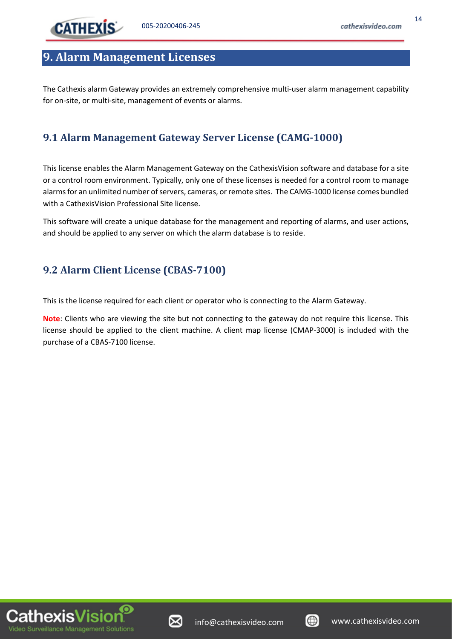## <span id="page-13-0"></span>**9. Alarm Management Licenses**

The Cathexis alarm Gateway provides an extremely comprehensive multi-user alarm management capability for on-site, or multi-site, management of events or alarms.

#### <span id="page-13-1"></span>**9.1 Alarm Management Gateway Server License (CAMG-1000)**

This license enables the Alarm Management Gateway on the CathexisVision software and database for a site or a control room environment. Typically, only one of these licenses is needed for a control room to manage alarms for an unlimited number of servers, cameras, or remote sites. The CAMG-1000 license comes bundled with a CathexisVision Professional Site license.

This software will create a unique database for the management and reporting of alarms, and user actions, and should be applied to any server on which the alarm database is to reside.

#### <span id="page-13-2"></span>**9.2 Alarm Client License (CBAS-7100)**

This is the license required for each client or operator who is connecting to the Alarm Gateway.

**Note**: Clients who are viewing the site but not connecting to the gateway do not require this license. This license should be applied to the client machine. A client map license (CMAP-3000) is included with the purchase of a CBAS-7100 license.





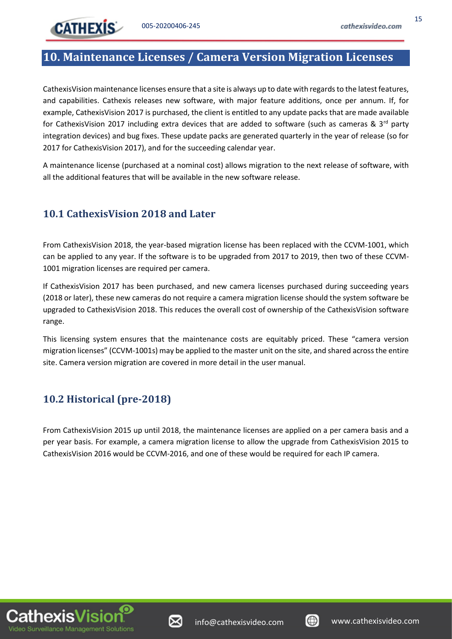

#### <span id="page-14-0"></span>**10. Maintenance Licenses / Camera Version Migration Licenses**

CathexisVision maintenance licenses ensure that a site is always up to date with regards to the latest features, and capabilities. Cathexis releases new software, with major feature additions, once per annum. If, for example, CathexisVision 2017 is purchased, the client is entitled to any update packs that are made available for CathexisVision 2017 including extra devices that are added to software (such as cameras &  $3^{rd}$  party integration devices) and bug fixes. These update packs are generated quarterly in the year of release (so for 2017 for CathexisVision 2017), and for the succeeding calendar year.

A maintenance license (purchased at a nominal cost) allows migration to the next release of software, with all the additional features that will be available in the new software release.

#### <span id="page-14-1"></span>**10.1 CathexisVision 2018 and Later**

From CathexisVision 2018, the year-based migration license has been replaced with the CCVM-1001, which can be applied to any year. If the software is to be upgraded from 2017 to 2019, then two of these CCVM-1001 migration licenses are required per camera.

If CathexisVision 2017 has been purchased, and new camera licenses purchased during succeeding years (2018 or later), these new cameras do not require a camera migration license should the system software be upgraded to CathexisVision 2018. This reduces the overall cost of ownership of the CathexisVision software range.

This licensing system ensures that the maintenance costs are equitably priced. These "camera version migration licenses" (CCVM-1001s) may be applied to the master unit on the site, and shared across the entire site. Camera version migration are covered in more detail in the user manual.

#### <span id="page-14-2"></span>**10.2 Historical (pre-2018)**

From CathexisVision 2015 up until 2018, the maintenance licenses are applied on a per camera basis and a per year basis. For example, a camera migration license to allow the upgrade from CathexisVision 2015 to CathexisVision 2016 would be CCVM-2016, and one of these would be required for each IP camera.





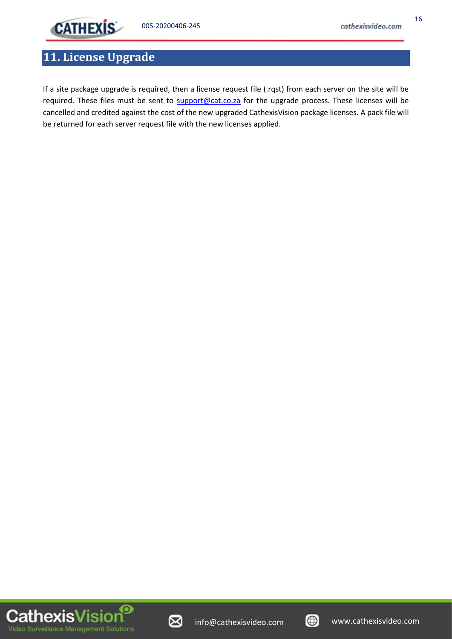## <span id="page-15-0"></span>**11. License Upgrade**

If a site package upgrade is required, then a license request file (.rqst) from each server on the site will be required. These files must be sent to [support@cat.co.za](mailto:support@cat.co.za) for the upgrade process. These licenses will be cancelled and credited against the cost of the new upgraded CathexisVision package licenses. A pack file will be returned for each server request file with the new licenses applied.